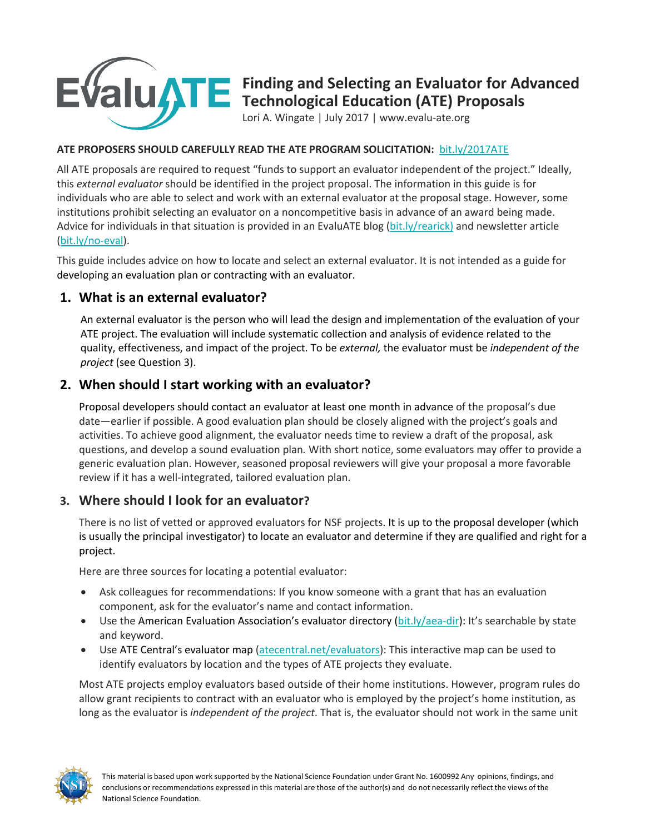

# **Finding and Selecting an Evaluator for Advanced Technological Education (ATE) Proposals**

Lori A. Wingate | July 2017 | www.evalu-ate.org

#### **ATE PROPOSERS SHOULD CAREFULLY READ THE ATE PROGRAM SOLICITATION:** bit.ly/2017ATE

All ATE proposals are required to request "funds to support an evaluator independent of the project." Ideally, this *external evaluator* should be identified in the project proposal. The information in this guide is for individuals who are able to select and work with an external evaluator at the proposal stage. However, some institutions prohibit selecting an evaluator on a noncompetitive basis in advance of an award being made. Advice for individuals in that situation is provided in an EvaluATE blog (bit.ly/rearick) and newsletter article (bit.ly/no-eval).

This guide includes advice on how to locate and select an external evaluator. It is not intended as a guide for developing an evaluation plan or contracting with an evaluator.

#### **1. What is an external evaluator?**

An external evaluator is the person who will lead the design and implementation of the evaluation of your ATE project. The evaluation will include systematic collection and analysis of evidence related to the quality, effectiveness, and impact of the project. To be *external,* the evaluator must be *independent of the project* (see Question 3).

## **2. When should I start working with an evaluator?**

Proposal developers should contact an evaluator at least one month in advance of the proposal's due date—earlier if possible. A good evaluation plan should be closely aligned with the project's goals and activities. To achieve good alignment, the evaluator needs time to review a draft of the proposal, ask questions, and develop a sound evaluation plan*.* With short notice, some evaluators may offer to provide a generic evaluation plan. However, seasoned proposal reviewers will give your proposal a more favorable review if it has a well-integrated, tailored evaluation plan.

#### **3. Where should I look for an evaluator?**

There is no list of vetted or approved evaluators for NSF projects. It is up to the proposal developer (which is usually the principal investigator) to locate an evaluator and determine if they are qualified and right for a project.

Here are three sources for locating a potential evaluator:

- Ask colleagues for recommendations: If you know someone with a grant that has an evaluation component, ask for the evaluator's name and contact information.
- Use the American Evaluation Association's evaluator directory (bit.ly/aea-dir): It's searchable by state and keyword.
- Use ATE Central's evaluator map (atecentral.net/evaluators): This interactive map can be used to identify evaluators by location and the types of ATE projects they evaluate.

Most ATE projects employ evaluators based outside of their home institutions. However, program rules do allow grant recipients to contract with an evaluator who is employed by the project's home institution, as long as the evaluator is *independent of the project*. That is, the evaluator should not work in the same unit

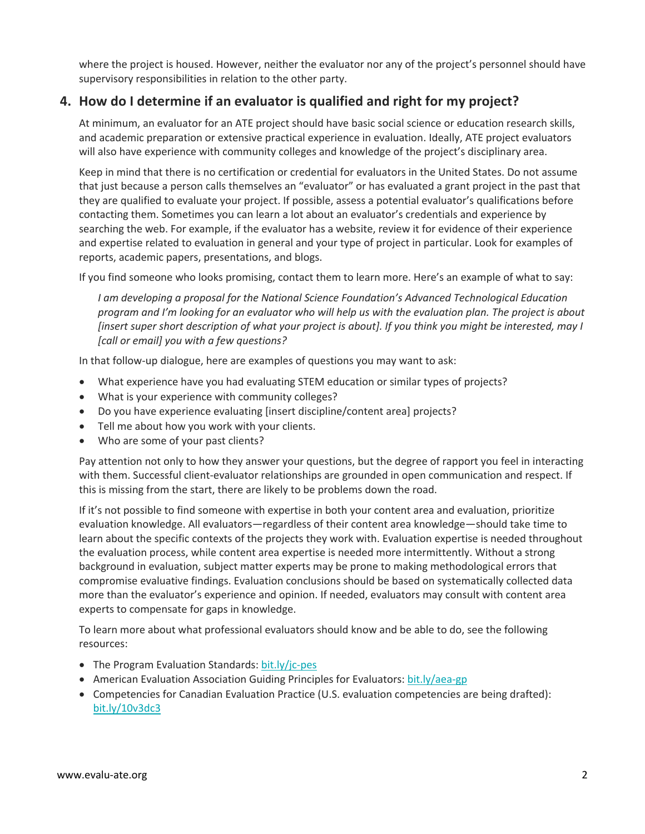where the project is housed. However, neither the evaluator nor any of the project's personnel should have supervisory responsibilities in relation to the other party.

#### **4. How do I determine if an evaluator is qualified and right for my project?**

At minimum, an evaluator for an ATE project should have basic social science or education research skills, and academic preparation or extensive practical experience in evaluation. Ideally, ATE project evaluators will also have experience with community colleges and knowledge of the project's disciplinary area.

Keep in mind that there is no certification or credential for evaluators in the United States. Do not assume that just because a person calls themselves an "evaluator" or has evaluated a grant project in the past that they are qualified to evaluate your project. If possible, assess a potential evaluator's qualifications before contacting them. Sometimes you can learn a lot about an evaluator's credentials and experience by searching the web. For example, if the evaluator has a website, review it for evidence of their experience and expertise related to evaluation in general and your type of project in particular. Look for examples of reports, academic papers, presentations, and blogs.

If you find someone who looks promising, contact them to learn more. Here's an example of what to say:

*I am developing a proposal for the National Science Foundation's Advanced Technological Education program and I'm looking for an evaluator who will help us with the evaluation plan. The project is about [insert super short description of what your project is about]. If you think you might be interested, may I [call or email] you with a few questions?* 

In that follow-up dialogue, here are examples of questions you may want to ask:

- What experience have you had evaluating STEM education or similar types of projects?
- What is your experience with community colleges?
- Do you have experience evaluating [insert discipline/content area] projects?
- Tell me about how you work with your clients.
- Who are some of your past clients?

Pay attention not only to how they answer your questions, but the degree of rapport you feel in interacting with them. Successful client-evaluator relationships are grounded in open communication and respect. If this is missing from the start, there are likely to be problems down the road.

If it's not possible to find someone with expertise in both your content area and evaluation, prioritize evaluation knowledge. All evaluators—regardless of their content area knowledge—should take time to learn about the specific contexts of the projects they work with. Evaluation expertise is needed throughout the evaluation process, while content area expertise is needed more intermittently. Without a strong background in evaluation, subject matter experts may be prone to making methodological errors that compromise evaluative findings. Evaluation conclusions should be based on systematically collected data more than the evaluator's experience and opinion. If needed, evaluators may consult with content area experts to compensate for gaps in knowledge.

To learn more about what professional evaluators should know and be able to do, see the following resources:

- The Program Evaluation Standards: bit.ly/jc-pes
- American Evaluation Association Guiding Principles for Evaluators: bit.ly/aea-gp
- Competencies for Canadian Evaluation Practice (U.S. evaluation competencies are being drafted): bit.ly/10v3dc3